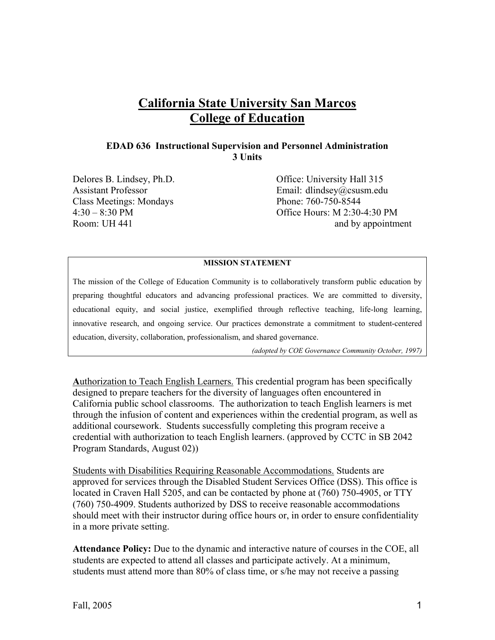# **California State University San Marcos College of Education**

#### **EDAD 636 Instructional Supervision and Personnel Administration 3 Units**

Class Meetings: Mondays Phone: 760-750-8544

Delores B. Lindsey, Ph.D. Office: University Hall 315 Assistant Professor Email: dlindsey@csusm.edu 4:30 – 8:30 PM Office Hours: M 2:30-4:30 PM Room: UH 441

#### **MISSION STATEMENT**

The mission of the College of Education Community is to collaboratively transform public education by preparing thoughtful educators and advancing professional practices. We are committed to diversity, educational equity, and social justice, exemplified through reflective teaching, life-long learning, innovative research, and ongoing service. Our practices demonstrate a commitment to student-centered education, diversity, collaboration, professionalism, and shared governance.

*(adopted by COE Governance Community October, 1997)* 

**A**uthorization to Teach English Learners. This credential program has been specifically designed to prepare teachers for the diversity of languages often encountered in California public school classrooms. The authorization to teach English learners is met through the infusion of content and experiences within the credential program, as well as additional coursework. Students successfully completing this program receive a credential with authorization to teach English learners. (approved by CCTC in SB 2042 Program Standards, August 02))

Students with Disabilities Requiring Reasonable Accommodations. Students are approved for services through the Disabled Student Services Office (DSS). This office is located in Craven Hall 5205, and can be contacted by phone at (760) 750-4905, or TTY (760) 750-4909. Students authorized by DSS to receive reasonable accommodations should meet with their instructor during office hours or, in order to ensure confidentiality in a more private setting.

**Attendance Policy:** Due to the dynamic and interactive nature of courses in the COE, all students are expected to attend all classes and participate actively. At a minimum, students must attend more than 80% of class time, or s/he may not receive a passing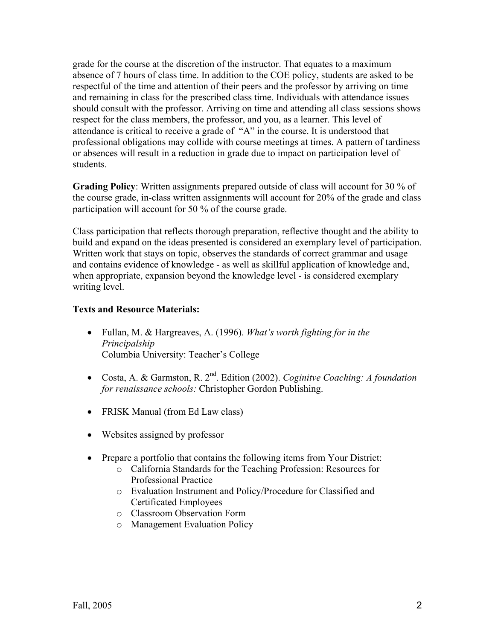grade for the course at the discretion of the instructor. That equates to a maximum absence of 7 hours of class time. In addition to the COE policy, students are asked to be respectful of the time and attention of their peers and the professor by arriving on time and remaining in class for the prescribed class time. Individuals with attendance issues should consult with the professor. Arriving on time and attending all class sessions shows respect for the class members, the professor, and you, as a learner. This level of attendance is critical to receive a grade of "A" in the course. It is understood that professional obligations may collide with course meetings at times. A pattern of tardiness or absences will result in a reduction in grade due to impact on participation level of students.

**Grading Policy**: Written assignments prepared outside of class will account for 30 % of the course grade, in-class written assignments will account for 20% of the grade and class participation will account for 50 % of the course grade.

Class participation that reflects thorough preparation, reflective thought and the ability to build and expand on the ideas presented is considered an exemplary level of participation. Written work that stays on topic, observes the standards of correct grammar and usage and contains evidence of knowledge - as well as skillful application of knowledge and, when appropriate, expansion beyond the knowledge level - is considered exemplary writing level.

# **Texts and Resource Materials:**

- Fullan, M. & Hargreaves, A. (1996). *What's worth fighting for in the Principalship* Columbia University: Teacher's College
- Costa, A. & Garmston, R. 2nd. Edition (2002). *Coginitve Coaching: A foundation for renaissance schools:* Christopher Gordon Publishing.
- FRISK Manual (from Ed Law class)
- Websites assigned by professor
- Prepare a portfolio that contains the following items from Your District:
	- o California Standards for the Teaching Profession: Resources for Professional Practice
	- o Evaluation Instrument and Policy/Procedure for Classified and Certificated Employees
	- o Classroom Observation Form
	- o Management Evaluation Policy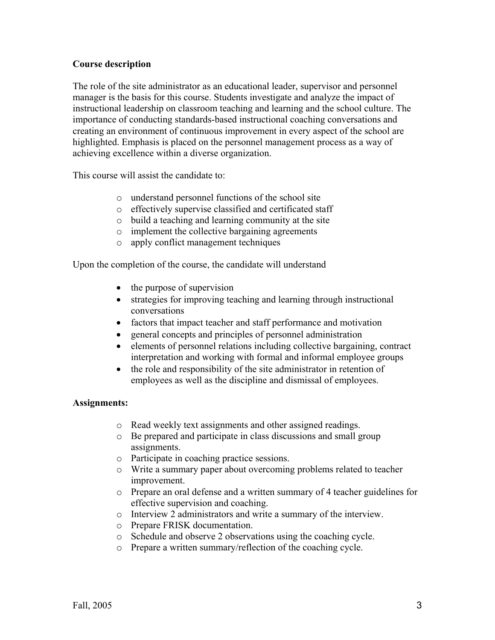# **Course description**

The role of the site administrator as an educational leader, supervisor and personnel manager is the basis for this course. Students investigate and analyze the impact of instructional leadership on classroom teaching and learning and the school culture. The importance of conducting standards-based instructional coaching conversations and creating an environment of continuous improvement in every aspect of the school are highlighted. Emphasis is placed on the personnel management process as a way of achieving excellence within a diverse organization.

This course will assist the candidate to:

- o understand personnel functions of the school site
- o effectively supervise classified and certificated staff
- o build a teaching and learning community at the site
- o implement the collective bargaining agreements
- o apply conflict management techniques

Upon the completion of the course, the candidate will understand

- the purpose of supervision
- strategies for improving teaching and learning through instructional conversations
- factors that impact teacher and staff performance and motivation
- general concepts and principles of personnel administration
- elements of personnel relations including collective bargaining, contract interpretation and working with formal and informal employee groups
- the role and responsibility of the site administrator in retention of employees as well as the discipline and dismissal of employees.

#### **Assignments:**

- o Read weekly text assignments and other assigned readings.
- o Be prepared and participate in class discussions and small group assignments.
- o Participate in coaching practice sessions.
- o Write a summary paper about overcoming problems related to teacher improvement.
- o Prepare an oral defense and a written summary of 4 teacher guidelines for effective supervision and coaching.
- o Interview 2 administrators and write a summary of the interview.
- o Prepare FRISK documentation.
- o Schedule and observe 2 observations using the coaching cycle.
- o Prepare a written summary/reflection of the coaching cycle.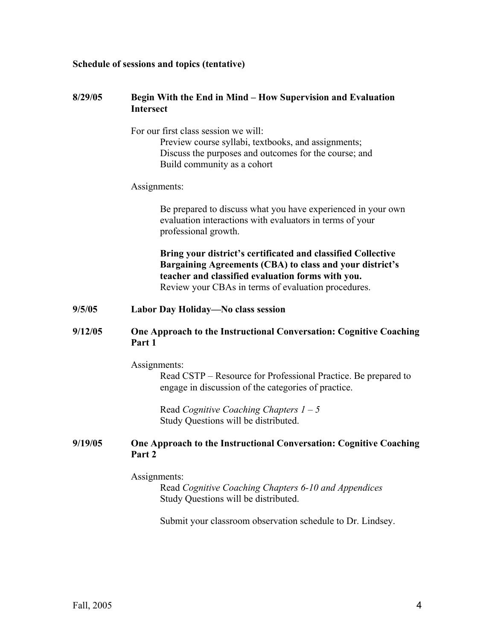#### **Schedule of sessions and topics (tentative)**

#### **8/29/05 Begin With the End in Mind – How Supervision and Evaluation Intersect**

For our first class session we will:

 Preview course syllabi, textbooks, and assignments; Discuss the purposes and outcomes for the course; and Build community as a cohort

#### Assignments:

Be prepared to discuss what you have experienced in your own evaluation interactions with evaluators in terms of your professional growth.

**Bring your district's certificated and classified Collective Bargaining Agreements (CBA) to class and your district's teacher and classified evaluation forms with you.** Review your CBAs in terms of evaluation procedures.

#### **9/5/05 Labor Day Holiday—No class session**

## **9/12/05 One Approach to the Instructional Conversation: Cognitive Coaching Part 1**

Assignments:

Read CSTP – Resource for Professional Practice. Be prepared to engage in discussion of the categories of practice.

 Read *Cognitive Coaching Chapters 1 – 5* Study Questions will be distributed.

#### **9/19/05 One Approach to the Instructional Conversation: Cognitive Coaching Part 2**

Assignments:

 Read *Cognitive Coaching Chapters 6-10 and Appendices* Study Questions will be distributed.

Submit your classroom observation schedule to Dr. Lindsey.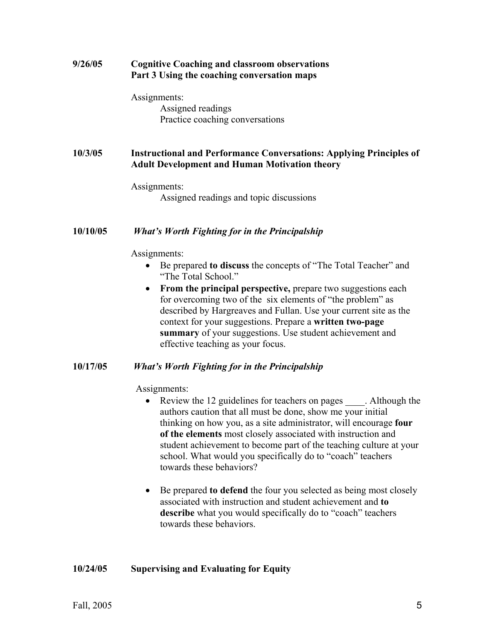| 9/26/05  | <b>Cognitive Coaching and classroom observations</b><br>Part 3 Using the coaching conversation maps                                                                                                                                                                                                                                                         |
|----------|-------------------------------------------------------------------------------------------------------------------------------------------------------------------------------------------------------------------------------------------------------------------------------------------------------------------------------------------------------------|
|          | Assignments:<br>Assigned readings<br>Practice coaching conversations                                                                                                                                                                                                                                                                                        |
| 10/3/05  | <b>Instructional and Performance Conversations: Applying Principles of</b><br><b>Adult Development and Human Motivation theory</b>                                                                                                                                                                                                                          |
|          | Assignments:<br>Assigned readings and topic discussions                                                                                                                                                                                                                                                                                                     |
| 10/10/05 | What's Worth Fighting for in the Principalship                                                                                                                                                                                                                                                                                                              |
|          | Assignments:                                                                                                                                                                                                                                                                                                                                                |
|          | Be prepared to discuss the concepts of "The Total Teacher" and<br>"The Total School."                                                                                                                                                                                                                                                                       |
|          | From the principal perspective, prepare two suggestions each<br>for overcoming two of the six elements of "the problem" as<br>described by Hargreaves and Fullan. Use your current site as the<br>context for your suggestions. Prepare a written two-page<br>summary of your suggestions. Use student achievement and<br>effective teaching as your focus. |
|          | $\mathbf{H}^{H}$ is $\mathbf{H}^{H}$ if $\mathbf{H}^{H}$ is a set of $\mathbf{H}^{H}$ is a set of $\mathbf{H}^{H}$                                                                                                                                                                                                                                          |

#### **10/17/05** *What's Worth Fighting for in the Principalship*

Assignments:

- Review the 12 guidelines for teachers on pages \_\_\_\_\_. Although the authors caution that all must be done, show me your initial thinking on how you, as a site administrator, will encourage **four of the elements** most closely associated with instruction and student achievement to become part of the teaching culture at your school. What would you specifically do to "coach" teachers towards these behaviors?
- Be prepared **to defend** the four you selected as being most closely associated with instruction and student achievement and **to**  describe what you would specifically do to "coach" teachers towards these behaviors.

# **10/24/05 Supervising and Evaluating for Equity**